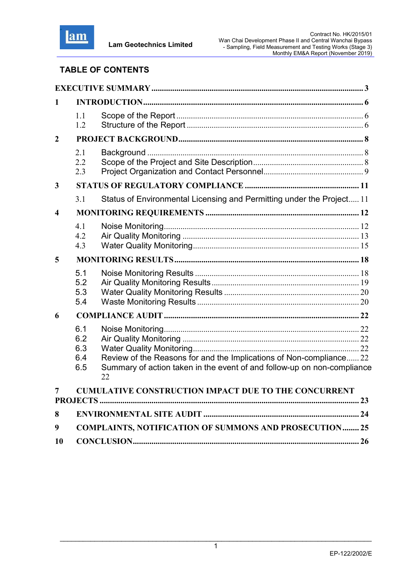

# TABLE OF CONTENTS

| $\mathbf{1}$            |                                 |                                                                                                                                                      |  |
|-------------------------|---------------------------------|------------------------------------------------------------------------------------------------------------------------------------------------------|--|
|                         | 1.1<br>1.2                      |                                                                                                                                                      |  |
| $\overline{2}$          |                                 |                                                                                                                                                      |  |
|                         | 2.1<br>2.2<br>2.3               |                                                                                                                                                      |  |
| 3                       |                                 |                                                                                                                                                      |  |
|                         | 3.1                             | Status of Environmental Licensing and Permitting under the Project 11                                                                                |  |
| $\overline{\mathbf{4}}$ |                                 |                                                                                                                                                      |  |
|                         | 4.1<br>4.2<br>4.3               |                                                                                                                                                      |  |
| 5                       |                                 |                                                                                                                                                      |  |
|                         | 5.1<br>5.2<br>5.3<br>5.4        |                                                                                                                                                      |  |
| 6                       |                                 |                                                                                                                                                      |  |
|                         | 6.1<br>6.2<br>6.3<br>6.4<br>6.5 | Review of the Reasons for and the Implications of Non-compliance 22<br>Summary of action taken in the event of and follow-up on non-compliance<br>22 |  |
| 7                       |                                 | <b>CUMULATIVE CONSTRUCTION IMPACT DUE TO THE CONCURRENT</b>                                                                                          |  |
| 8                       |                                 |                                                                                                                                                      |  |
| 9                       |                                 | <b>COMPLAINTS, NOTIFICATION OF SUMMONS AND PROSECUTION 25</b>                                                                                        |  |
| <b>10</b>               |                                 |                                                                                                                                                      |  |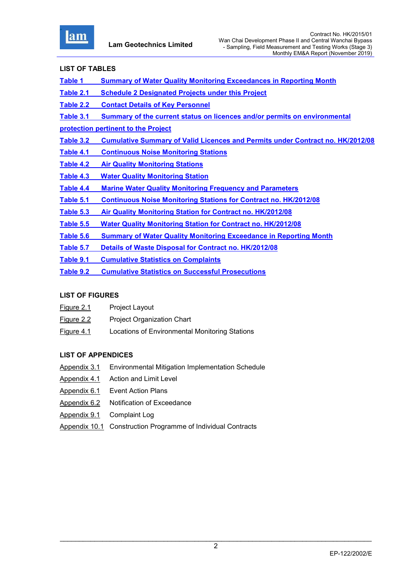

# LIST OF TABLES

- Table 1 Summary of Water Quality Monitoring Exceedances in Reporting Month
- Table 2.1 Schedule 2 Designated Projects under this Project
- Table 2.2 Contact Details of Key Personnel
- Table 3.1 Summary of the current status on licences and/or permits on environmental
- protection pertinent to the Project
- Table 3.2 Cumulative Summary of Valid Licences and Permits under Contract no. HK/2012/08
- Table 4.1 Continuous Noise Monitoring Stations
- Table 4.2 Air Quality Monitoring Stations
- Table 4.3 Water Quality Monitoring Station
- Table 4.4 Marine Water Quality Monitoring Frequency and Parameters
- Table 5.1 Continuous Noise Monitoring Stations for Contract no. HK/2012/08
- Table 5.3 Air Quality Monitoring Station for Contract no. HK/2012/08
- Table 5.5 Water Quality Monitoring Station for Contract no. HK/2012/08
- Table 5.6 Summary of Water Quality Monitoring Exceedance in Reporting Month
- Table 5.7 Details of Waste Disposal for Contract no. HK/2012/08
- Table 9.1 Cumulative Statistics on Complaints
- Table 9.2 Cumulative Statistics on Successful Prosecutions

# LIST OF FIGURES

- Figure 2.1 Project Layout
- Figure 2.2 Project Organization Chart
- Figure 4.1 Locations of Environmental Monitoring Stations

# LIST OF APPENDICES

- Appendix 3.1 Environmental Mitigation Implementation Schedule
- Appendix 4.1 Action and Limit Level
- Appendix 6.1 Event Action Plans
- Appendix 6.2 Notification of Exceedance
- Appendix 9.1 Complaint Log
- Appendix 10.1 Construction Programme of Individual Contracts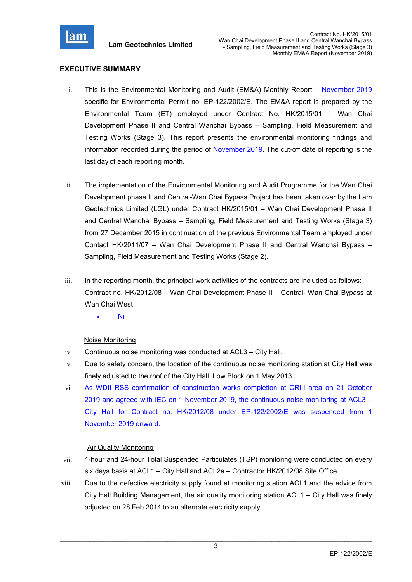

# EXECUTIVE SUMMARY

- i. This is the Environmental Monitoring and Audit (EM&A) Monthly Report November 2019 specific for Environmental Permit no. EP-122/2002/E. The EM&A report is prepared by the Environmental Team (ET) employed under Contract No. HK/2015/01 – Wan Chai Development Phase II and Central Wanchai Bypass – Sampling, Field Measurement and Testing Works (Stage 3). This report presents the environmental monitoring findings and information recorded during the period of November 2019. The cut-off date of reporting is the last day of each reporting month.
- ii. The implementation of the Environmental Monitoring and Audit Programme for the Wan Chai Development phase II and Central-Wan Chai Bypass Project has been taken over by the Lam Geotechnics Limited (LGL) under Contract HK/2015/01 – Wan Chai Development Phase II and Central Wanchai Bypass – Sampling, Field Measurement and Testing Works (Stage 3) from 27 December 2015 in continuation of the previous Environmental Team employed under Contact HK/2011/07 – Wan Chai Development Phase II and Central Wanchai Bypass – Sampling, Field Measurement and Testing Works (Stage 2).
- iii. In the reporting month, the principal work activities of the contracts are included as follows: Contract no. HK/2012/08 – Wan Chai Development Phase II – Central- Wan Chai Bypass at Wan Chai West
	- Nil

#### Noise Monitoring

- iv. Continuous noise monitoring was conducted at ACL3 City Hall.
- v. Due to safety concern, the location of the continuous noise monitoring station at City Hall was finely adjusted to the roof of the City Hall, Low Block on 1 May 2013.
- vi. As WDII RSS confirmation of construction works completion at CRIII area on 21 October 2019 and agreed with IEC on 1 November 2019, the continuous noise monitoring at ACL3 – City Hall for Contract no. HK/2012/08 under EP-122/2002/E was suspended from 1 November 2019 onward.

# Air Quality Monitoring

- vii. 1-hour and 24-hour Total Suspended Particulates (TSP) monitoring were conducted on every six days basis at ACL1 – City Hall and ACL2a – Contractor HK/2012/08 Site Office.
- viii. Due to the defective electricity supply found at monitoring station ACL1 and the advice from City Hall Building Management, the air quality monitoring station ACL1 – City Hall was finely adjusted on 28 Feb 2014 to an alternate electricity supply.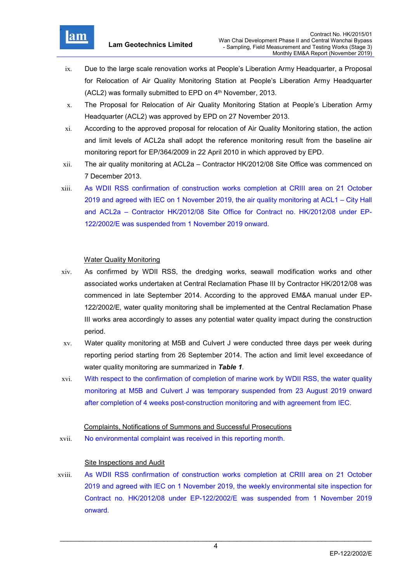

- ix. Due to the large scale renovation works at People's Liberation Army Headquarter, a Proposal for Relocation of Air Quality Monitoring Station at People's Liberation Army Headquarter  $(ACL2)$  was formally submitted to EPD on  $4<sup>th</sup>$  November, 2013.
- x. The Proposal for Relocation of Air Quality Monitoring Station at People's Liberation Army Headquarter (ACL2) was approved by EPD on 27 November 2013.
- xi. According to the approved proposal for relocation of Air Quality Monitoring station, the action and limit levels of ACL2a shall adopt the reference monitoring result from the baseline air monitoring report for EP/364/2009 in 22 April 2010 in which approved by EPD.
- xii. The air quality monitoring at ACL2a Contractor HK/2012/08 Site Office was commenced on 7 December 2013.
- xiii. As WDII RSS confirmation of construction works completion at CRIII area on 21 October 2019 and agreed with IEC on 1 November 2019, the air quality monitoring at ACL1 – City Hall and ACL2a – Contractor HK/2012/08 Site Office for Contract no. HK/2012/08 under EP-122/2002/E was suspended from 1 November 2019 onward.

# Water Quality Monitoring

- xiv. As confirmed by WDII RSS, the dredging works, seawall modification works and other associated works undertaken at Central Reclamation Phase III by Contractor HK/2012/08 was commenced in late September 2014. According to the approved EM&A manual under EP-122/2002/E, water quality monitoring shall be implemented at the Central Reclamation Phase III works area accordingly to asses any potential water quality impact during the construction period.
- xv. Water quality monitoring at M5B and Culvert J were conducted three days per week during reporting period starting from 26 September 2014. The action and limit level exceedance of water quality monitoring are summarized in Table 1.
- xvi. With respect to the confirmation of completion of marine work by WDII RSS, the water quality monitoring at M5B and Culvert J was temporary suspended from 23 August 2019 onward after completion of 4 weeks post-construction monitoring and with agreement from IEC.

#### Complaints, Notifications of Summons and Successful Prosecutions

xvii. No environmental complaint was received in this reporting month.

#### Site Inspections and Audit

xviii. As WDII RSS confirmation of construction works completion at CRIII area on 21 October 2019 and agreed with IEC on 1 November 2019, the weekly environmental site inspection for Contract no. HK/2012/08 under EP-122/2002/E was suspended from 1 November 2019 onward.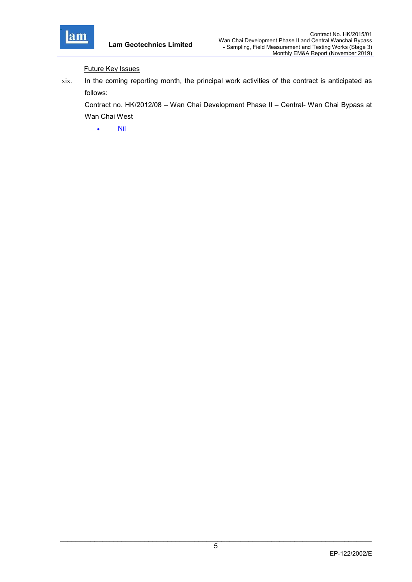

Future Key Issues

xix. In the coming reporting month, the principal work activities of the contract is anticipated as follows:

Contract no. HK/2012/08 – Wan Chai Development Phase II – Central- Wan Chai Bypass at Wan Chai West

 $\bullet$  Nil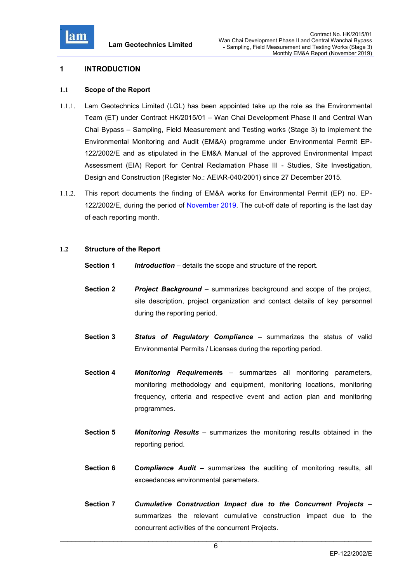

#### 1 INTRODUCTION

#### 1.1 Scope of the Report

- 1.1.1. Lam Geotechnics Limited (LGL) has been appointed take up the role as the Environmental Team (ET) under Contract HK/2015/01 – Wan Chai Development Phase II and Central Wan Chai Bypass – Sampling, Field Measurement and Testing works (Stage 3) to implement the Environmental Monitoring and Audit (EM&A) programme under Environmental Permit EP-122/2002/E and as stipulated in the EM&A Manual of the approved Environmental Impact Assessment (EIA) Report for Central Reclamation Phase III - Studies, Site Investigation, Design and Construction (Register No.: AEIAR-040/2001) since 27 December 2015.
- 1.1.2. This report documents the finding of EM&A works for Environmental Permit (EP) no. EP-122/2002/E, during the period of November 2019. The cut-off date of reporting is the last day of each reporting month.

# 1.2 Structure of the Report

- **Section 1** Introduction details the scope and structure of the report.
- **Section 2** Project Background summarizes background and scope of the project, site description, project organization and contact details of key personnel during the reporting period.
- Section 3 Status of Regulatory Compliance summarizes the status of valid Environmental Permits / Licenses during the reporting period.
- Section 4 Monitoring Requirements summarizes all monitoring parameters, monitoring methodology and equipment, monitoring locations, monitoring frequency, criteria and respective event and action plan and monitoring programmes.
- **Section 5** Monitoring Results summarizes the monitoring results obtained in the reporting period.
- **Section 6** Compliance Audit summarizes the auditing of monitoring results, all exceedances environmental parameters.
- Section 7 Cumulative Construction Impact due to the Concurrent Projects summarizes the relevant cumulative construction impact due to the concurrent activities of the concurrent Projects.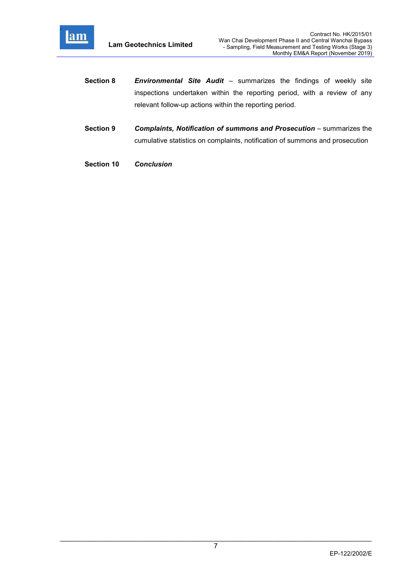

- Section 8 Environmental Site Audit summarizes the findings of weekly site inspections undertaken within the reporting period, with a review of any relevant follow-up actions within the reporting period.
- Section 9 Complaints, Notification of summons and Prosecution summarizes the cumulative statistics on complaints, notification of summons and prosecution
- Section 10 Conclusion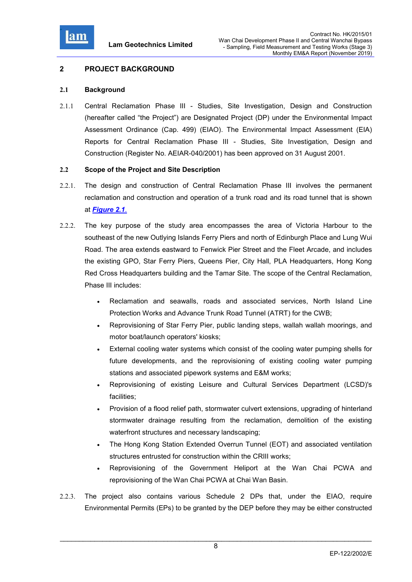

# 2 PROJECT BACKGROUND

# 2.1 Background

2.1.1 Central Reclamation Phase III - Studies, Site Investigation, Design and Construction (hereafter called "the Project") are Designated Project (DP) under the Environmental Impact Assessment Ordinance (Cap. 499) (EIAO). The Environmental Impact Assessment (EIA) Reports for Central Reclamation Phase III - Studies, Site Investigation, Design and Construction (Register No. AEIAR-040/2001) has been approved on 31 August 2001.

# 2.2 Scope of the Project and Site Description

- 2.2.1. The design and construction of Central Reclamation Phase III involves the permanent reclamation and construction and operation of a trunk road and its road tunnel that is shown at Figure 2.1.
- 2.2.2. The key purpose of the study area encompasses the area of Victoria Harbour to the southeast of the new Outlying Islands Ferry Piers and north of Edinburgh Place and Lung Wui Road. The area extends eastward to Fenwick Pier Street and the Fleet Arcade, and includes the existing GPO, Star Ferry Piers, Queens Pier, City Hall, PLA Headquarters, Hong Kong Red Cross Headquarters building and the Tamar Site. The scope of the Central Reclamation, Phase III includes:
	- Reclamation and seawalls, roads and associated services, North Island Line Protection Works and Advance Trunk Road Tunnel (ATRT) for the CWB;
	- Reprovisioning of Star Ferry Pier, public landing steps, wallah wallah moorings, and motor boat/launch operators' kiosks;
	- External cooling water systems which consist of the cooling water pumping shells for future developments, and the reprovisioning of existing cooling water pumping stations and associated pipework systems and E&M works;
	- Reprovisioning of existing Leisure and Cultural Services Department (LCSD)'s facilities;
	- Provision of a flood relief path, stormwater culvert extensions, upgrading of hinterland stormwater drainage resulting from the reclamation, demolition of the existing waterfront structures and necessary landscaping;
	- The Hong Kong Station Extended Overrun Tunnel (EOT) and associated ventilation structures entrusted for construction within the CRIII works;
	- Reprovisioning of the Government Heliport at the Wan Chai PCWA and reprovisioning of the Wan Chai PCWA at Chai Wan Basin.
- 2.2.3. The project also contains various Schedule 2 DPs that, under the EIAO, require Environmental Permits (EPs) to be granted by the DEP before they may be either constructed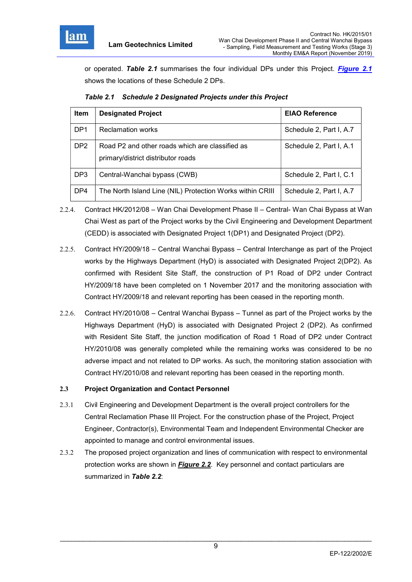

or operated. Table 2.1 summarises the four individual DPs under this Project. Figure 2.1 shows the locations of these Schedule 2 DPs.

|  | Table 2.1 Schedule 2 Designated Projects under this Project |
|--|-------------------------------------------------------------|
|--|-------------------------------------------------------------|

| <b>Item</b>     | <b>Designated Project</b>                                                             | <b>EIAO Reference</b>   |
|-----------------|---------------------------------------------------------------------------------------|-------------------------|
| DP <sub>1</sub> | <b>Reclamation works</b>                                                              | Schedule 2, Part I, A.7 |
| DP <sub>2</sub> | Road P2 and other roads which are classified as<br>primary/district distributor roads | Schedule 2, Part I, A.1 |
| DP <sub>3</sub> | Central-Wanchai bypass (CWB)                                                          | Schedule 2, Part I, C.1 |
| DP4             | The North Island Line (NIL) Protection Works within CRIII                             | Schedule 2, Part I, A.7 |

- 2.2.4. Contract HK/2012/08 Wan Chai Development Phase II Central- Wan Chai Bypass at Wan Chai West as part of the Project works by the Civil Engineering and Development Department (CEDD) is associated with Designated Project 1(DP1) and Designated Project (DP2).
- 2.2.5. Contract HY/2009/18 Central Wanchai Bypass Central Interchange as part of the Project works by the Highways Department (HyD) is associated with Designated Project 2(DP2). As confirmed with Resident Site Staff, the construction of P1 Road of DP2 under Contract HY/2009/18 have been completed on 1 November 2017 and the monitoring association with Contract HY/2009/18 and relevant reporting has been ceased in the reporting month.
- 2.2.6. Contract HY/2010/08 Central Wanchai Bypass Tunnel as part of the Project works by the Highways Department (HyD) is associated with Designated Project 2 (DP2). As confirmed with Resident Site Staff, the junction modification of Road 1 Road of DP2 under Contract HY/2010/08 was generally completed while the remaining works was considered to be no adverse impact and not related to DP works. As such, the monitoring station association with Contract HY/2010/08 and relevant reporting has been ceased in the reporting month.

# 2.3 Project Organization and Contact Personnel

- 2.3.1 Civil Engineering and Development Department is the overall project controllers for the Central Reclamation Phase III Project. For the construction phase of the Project, Project Engineer, Contractor(s), Environmental Team and Independent Environmental Checker are appointed to manage and control environmental issues.
- 2.3.2 The proposed project organization and lines of communication with respect to environmental protection works are shown in **Figure 2.2**. Key personnel and contact particulars are summarized in Table 2.2: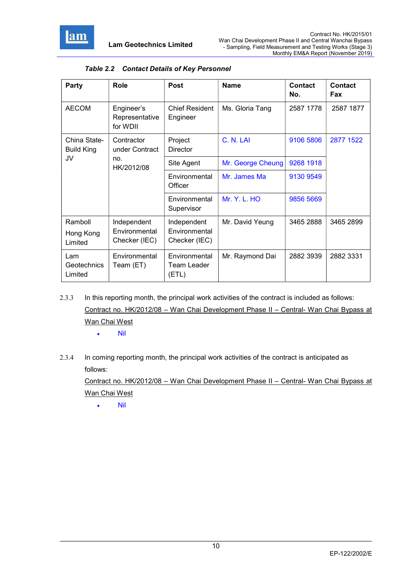

| Party                                | Role                                     | Post                                  | <b>Name</b>         | <b>Contact</b><br>No. | <b>Contact</b><br>Fax |
|--------------------------------------|------------------------------------------|---------------------------------------|---------------------|-----------------------|-----------------------|
| <b>AECOM</b>                         | Engineer's<br>Representative<br>for WDII | <b>Chief Resident</b><br>Engineer     | Ms. Gloria Tang     | 2587 1778             | 2587 1877             |
| China State-<br><b>Build King</b>    | Contractor<br>under Contract             | Project<br><b>Director</b>            | C. N. LAI           | 9106 5806             | 2877 1522             |
| JV                                   | no.<br>HK/2012/08                        | Site Agent                            | Mr. George Cheung   | 9268 1918             |                       |
|                                      |                                          | Environmental<br>Officer              | Mr. James Ma        | 9130 9549             |                       |
|                                      |                                          | Environmental<br>Supervisor           | <b>Mr. Y. L. HO</b> | 9856 5669             |                       |
| Ramboll                              | Independent                              | Independent                           | Mr. David Yeung     | 3465 2888             | 3465 2899             |
| Hong Kong<br>Limited                 | Environmental<br>Checker (IEC)           | Environmental<br>Checker (IEC)        |                     |                       |                       |
| Lam<br><b>Geotechnics</b><br>Limited | Environmental<br>Team (ET)               | Environmental<br>Team Leader<br>(ETL) | Mr. Raymond Dai     | 2882 3939             | 2882 3331             |

# Table 2.2 Contact Details of Key Personnel

2.3.3 In this reporting month, the principal work activities of the contract is included as follows: Contract no. HK/2012/08 – Wan Chai Development Phase II – Central- Wan Chai Bypass at Wan Chai West

 $\bullet$  Nil

2.3.4 In coming reporting month, the principal work activities of the contract is anticipated as follows:

Contract no. HK/2012/08 – Wan Chai Development Phase II – Central- Wan Chai Bypass at Wan Chai West

Nil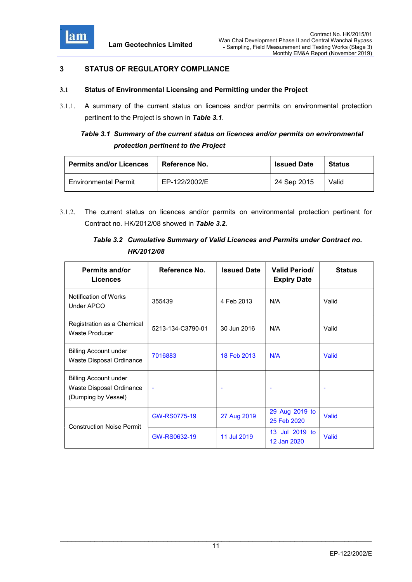

# 3 STATUS OF REGULATORY COMPLIANCE

# 3.1 Status of Environmental Licensing and Permitting under the Project

3.1.1. A summary of the current status on licences and/or permits on environmental protection pertinent to the Project is shown in Table 3.1.

# Table 3.1 Summary of the current status on licences and/or permits on environmental protection pertinent to the Project

| <b>Permits and/or Licences</b> | Reference No. | <b>Issued Date</b> | <b>Status</b> |
|--------------------------------|---------------|--------------------|---------------|
| <b>Environmental Permit</b>    | EP-122/2002/E | 24 Sep 2015        | Valid         |

3.1.2. The current status on licences and/or permits on environmental protection pertinent for Contract no. HK/2012/08 showed in Table 3.2.

# Table 3.2 Cumulative Summary of Valid Licences and Permits under Contract no. HK/2012/08

| <b>Permits and/or</b><br><b>Licences</b>                                        | Reference No.            | <b>Issued Date</b> | <b>Valid Period/</b><br><b>Expiry Date</b> | <b>Status</b> |
|---------------------------------------------------------------------------------|--------------------------|--------------------|--------------------------------------------|---------------|
| Notification of Works<br><b>Under APCO</b>                                      | 355439                   | 4 Feb 2013         | N/A                                        | Valid         |
| Registration as a Chemical<br>Waste Producer                                    | 5213-134-C3790-01        | 30 Jun 2016        | N/A                                        | Valid         |
| <b>Billing Account under</b><br>Waste Disposal Ordinance                        | 7016883                  | 18 Feb 2013        | N/A                                        | Valid         |
| <b>Billing Account under</b><br>Waste Disposal Ordinance<br>(Dumping by Vessel) | $\overline{\phantom{a}}$ |                    |                                            |               |
| <b>Construction Noise Permit</b>                                                | GW-RS0775-19             | 27 Aug 2019        | 29 Aug 2019 to<br>25 Feb 2020              | Valid         |
|                                                                                 | GW-RS0632-19             | 11 Jul 2019        | 13 Jul 2019 to<br>12 Jan 2020              | Valid         |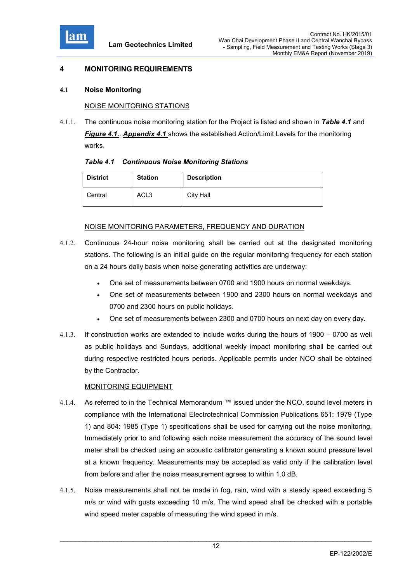

# 4 MONITORING REQUIREMENTS

#### 4.1 Noise Monitoring

#### NOISE MONITORING STATIONS

4.1.1. The continuous noise monitoring station for the Project is listed and shown in Table 4.1 and Figure 4.1.. Appendix 4.1 shows the established Action/Limit Levels for the monitoring works.

|  | <b>Table 4.1 Continuous Noise Monitoring Stations</b> |  |  |  |
|--|-------------------------------------------------------|--|--|--|
|--|-------------------------------------------------------|--|--|--|

| <b>District</b> | <b>Station</b>   | <b>Description</b> |
|-----------------|------------------|--------------------|
| Central         | ACL <sub>3</sub> | <b>City Hall</b>   |

#### NOISE MONITORING PARAMETERS, FREQUENCY AND DURATION

- 4.1.2. Continuous 24-hour noise monitoring shall be carried out at the designated monitoring stations. The following is an initial guide on the regular monitoring frequency for each station on a 24 hours daily basis when noise generating activities are underway:
	- One set of measurements between 0700 and 1900 hours on normal weekdays.
	- One set of measurements between 1900 and 2300 hours on normal weekdays and 0700 and 2300 hours on public holidays.
	- One set of measurements between 2300 and 0700 hours on next day on every day.
- 4.1.3. If construction works are extended to include works during the hours of 1900 0700 as well as public holidays and Sundays, additional weekly impact monitoring shall be carried out during respective restricted hours periods. Applicable permits under NCO shall be obtained by the Contractor.

#### MONITORING EQUIPMENT

- 4.1.4. As referred to in the Technical Memorandum ™ issued under the NCO, sound level meters in compliance with the International Electrotechnical Commission Publications 651: 1979 (Type 1) and 804: 1985 (Type 1) specifications shall be used for carrying out the noise monitoring. Immediately prior to and following each noise measurement the accuracy of the sound level meter shall be checked using an acoustic calibrator generating a known sound pressure level at a known frequency. Measurements may be accepted as valid only if the calibration level from before and after the noise measurement agrees to within 1.0 dB.
- 4.1.5. Noise measurements shall not be made in fog, rain, wind with a steady speed exceeding 5 m/s or wind with gusts exceeding 10 m/s. The wind speed shall be checked with a portable wind speed meter capable of measuring the wind speed in m/s.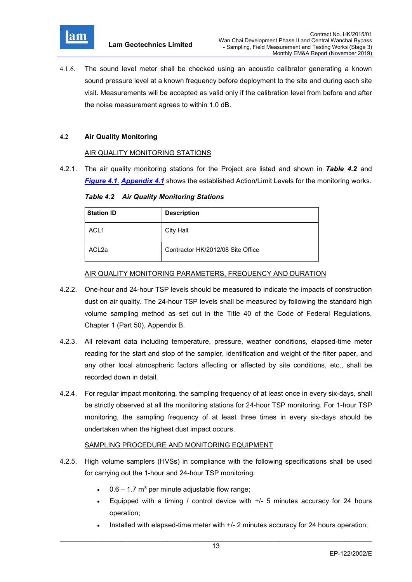

4.1.6. The sound level meter shall be checked using an acoustic calibrator generating a known sound pressure level at a known frequency before deployment to the site and during each site visit. Measurements will be accepted as valid only if the calibration level from before and after the noise measurement agrees to within 1.0 dB.

# 4.2 Air Quality Monitoring

# AIR QUALITY MONITORING STATIONS

4.2.1. The air quality monitoring stations for the Project are listed and shown in Table 4.2 and Figure 4.1. Appendix 4.1 shows the established Action/Limit Levels for the monitoring works.

Table 4.2 Air Quality Monitoring Stations

| <b>Station ID</b> | <b>Description</b>                |
|-------------------|-----------------------------------|
| ACL <sub>1</sub>  | City Hall                         |
| ACL <sub>2a</sub> | Contractor HK/2012/08 Site Office |

#### AIR QUALITY MONITORING PARAMETERS, FREQUENCY AND DURATION

- 4.2.2. One-hour and 24-hour TSP levels should be measured to indicate the impacts of construction dust on air quality. The 24-hour TSP levels shall be measured by following the standard high volume sampling method as set out in the Title 40 of the Code of Federal Regulations, Chapter 1 (Part 50), Appendix B.
- 4.2.3. All relevant data including temperature, pressure, weather conditions, elapsed-time meter reading for the start and stop of the sampler, identification and weight of the filter paper, and any other local atmospheric factors affecting or affected by site conditions, etc., shall be recorded down in detail.
- 4.2.4. For regular impact monitoring, the sampling frequency of at least once in every six-days, shall be strictly observed at all the monitoring stations for 24-hour TSP monitoring. For 1-hour TSP monitoring, the sampling frequency of at least three times in every six-days should be undertaken when the highest dust impact occurs.

# SAMPLING PROCEDURE AND MONITORING EQUIPMENT

- 4.2.5. High volume samplers (HVSs) in compliance with the following specifications shall be used for carrying out the 1-hour and 24-hour TSP monitoring:
	- 0.6 1.7 m<sup>3</sup> per minute adjustable flow range;
	- Equipped with a timing / control device with +/- 5 minutes accuracy for 24 hours operation;
	- Installed with elapsed-time meter with +/- 2 minutes accuracy for 24 hours operation;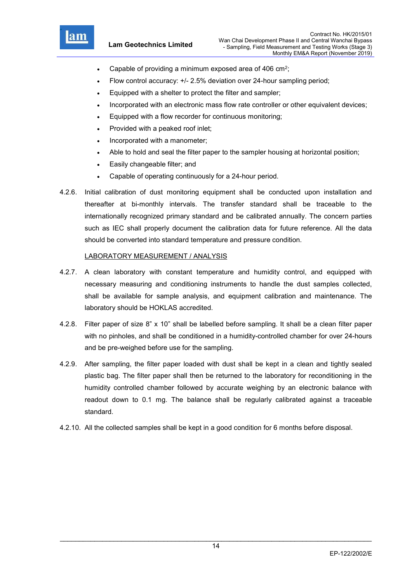

- Capable of providing a minimum exposed area of 406  $\text{cm}^2$ ;
- Flow control accuracy: +/- 2.5% deviation over 24-hour sampling period;
- Equipped with a shelter to protect the filter and sampler;
- Incorporated with an electronic mass flow rate controller or other equivalent devices;
- Equipped with a flow recorder for continuous monitoring;
- Provided with a peaked roof inlet;
- Incorporated with a manometer;
- Able to hold and seal the filter paper to the sampler housing at horizontal position;
- Easily changeable filter; and
- Capable of operating continuously for a 24-hour period.
- 4.2.6. Initial calibration of dust monitoring equipment shall be conducted upon installation and thereafter at bi-monthly intervals. The transfer standard shall be traceable to the internationally recognized primary standard and be calibrated annually. The concern parties such as IEC shall properly document the calibration data for future reference. All the data should be converted into standard temperature and pressure condition.

#### LABORATORY MEASUREMENT / ANALYSIS

- 4.2.7. A clean laboratory with constant temperature and humidity control, and equipped with necessary measuring and conditioning instruments to handle the dust samples collected, shall be available for sample analysis, and equipment calibration and maintenance. The laboratory should be HOKLAS accredited.
- 4.2.8. Filter paper of size 8" x 10" shall be labelled before sampling. It shall be a clean filter paper with no pinholes, and shall be conditioned in a humidity-controlled chamber for over 24-hours and be pre-weighed before use for the sampling.
- 4.2.9. After sampling, the filter paper loaded with dust shall be kept in a clean and tightly sealed plastic bag. The filter paper shall then be returned to the laboratory for reconditioning in the humidity controlled chamber followed by accurate weighing by an electronic balance with readout down to 0.1 mg. The balance shall be regularly calibrated against a traceable standard.
- 4.2.10. All the collected samples shall be kept in a good condition for 6 months before disposal.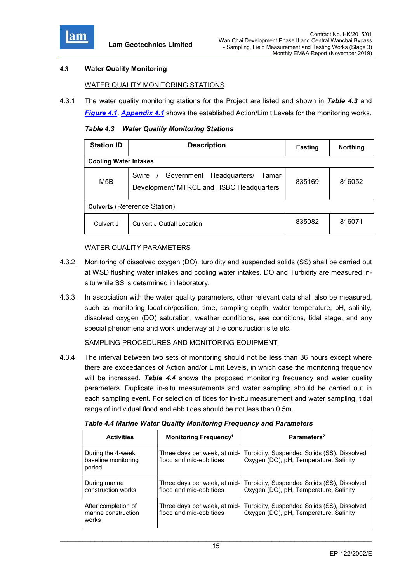

# 4.3 Water Quality Monitoring

#### WATER QUALITY MONITORING STATIONS

4.3.1 The water quality monitoring stations for the Project are listed and shown in Table 4.3 and Figure 4.1. Appendix 4.1 shows the established Action/Limit Levels for the monitoring works.

Table 4.3 Water Quality Monitoring Stations

| <b>Station ID</b>                   | <b>Description</b>                                                                       | <b>Easting</b> | <b>Northing</b> |  |  |  |
|-------------------------------------|------------------------------------------------------------------------------------------|----------------|-----------------|--|--|--|
|                                     | <b>Cooling Water Intakes</b>                                                             |                |                 |  |  |  |
| M <sub>5</sub> B                    | Government Headquarters/<br>Swire /<br>Tamar<br>Development/ MTRCL and HSBC Headquarters | 835169         | 816052          |  |  |  |
| <b>Culverts (Reference Station)</b> |                                                                                          |                |                 |  |  |  |
| Culvert J                           | <b>Culvert J Outfall Location</b>                                                        | 835082         | 816071          |  |  |  |

#### WATER QUALITY PARAMETERS

- 4.3.2. Monitoring of dissolved oxygen (DO), turbidity and suspended solids (SS) shall be carried out at WSD flushing water intakes and cooling water intakes. DO and Turbidity are measured insitu while SS is determined in laboratory.
- 4.3.3. In association with the water quality parameters, other relevant data shall also be measured, such as monitoring location/position, time, sampling depth, water temperature, pH, salinity, dissolved oxygen (DO) saturation, weather conditions, sea conditions, tidal stage, and any special phenomena and work underway at the construction site etc.

#### SAMPLING PROCEDURES AND MONITORING EQUIPMENT

4.3.4. The interval between two sets of monitoring should not be less than 36 hours except where there are exceedances of Action and/or Limit Levels, in which case the monitoring frequency will be increased. Table  $4.4$  shows the proposed monitoring frequency and water quality parameters. Duplicate in-situ measurements and water sampling should be carried out in each sampling event. For selection of tides for in-situ measurement and water sampling, tidal range of individual flood and ebb tides should be not less than 0.5m.

| <b>Activities</b>                                   | Monitoring Frequency <sup>1</sup>                       | Parameters <sup>2</sup>                                                               |
|-----------------------------------------------------|---------------------------------------------------------|---------------------------------------------------------------------------------------|
| During the 4-week<br>baseline monitoring<br>period  | Three days per week, at mid-<br>flood and mid-ebb tides | Turbidity, Suspended Solids (SS), Dissolved<br>Oxygen (DO), pH, Temperature, Salinity |
| During marine<br>construction works                 | Three days per week, at mid-<br>flood and mid-ebb tides | Turbidity, Suspended Solids (SS), Dissolved<br>Oxygen (DO), pH, Temperature, Salinity |
| After completion of<br>marine construction<br>works | Three days per week, at mid-<br>flood and mid-ebb tides | Turbidity, Suspended Solids (SS), Dissolved<br>Oxygen (DO), pH, Temperature, Salinity |

Table 4.4 Marine Water Quality Monitoring Frequency and Parameters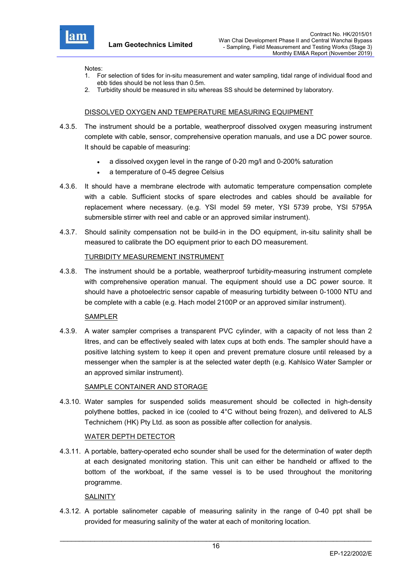

Notes:

- 1. For selection of tides for in-situ measurement and water sampling, tidal range of individual flood and ebb tides should be not less than 0.5m.
- 2. Turbidity should be measured in situ whereas SS should be determined by laboratory.

# DISSOLVED OXYGEN AND TEMPERATURE MEASURING EQUIPMENT

- 4.3.5. The instrument should be a portable, weatherproof dissolved oxygen measuring instrument complete with cable, sensor, comprehensive operation manuals, and use a DC power source. It should be capable of measuring:
	- a dissolved oxygen level in the range of 0-20 mg/l and 0-200% saturation
	- a temperature of 0-45 degree Celsius
- 4.3.6. It should have a membrane electrode with automatic temperature compensation complete with a cable. Sufficient stocks of spare electrodes and cables should be available for replacement where necessary. (e.g. YSI model 59 meter, YSI 5739 probe, YSI 5795A submersible stirrer with reel and cable or an approved similar instrument).
- 4.3.7. Should salinity compensation not be build-in in the DO equipment, in-situ salinity shall be measured to calibrate the DO equipment prior to each DO measurement.

#### TURBIDITY MEASUREMENT INSTRUMENT

4.3.8. The instrument should be a portable, weatherproof turbidity-measuring instrument complete with comprehensive operation manual. The equipment should use a DC power source. It should have a photoelectric sensor capable of measuring turbidity between 0-1000 NTU and be complete with a cable (e.g. Hach model 2100P or an approved similar instrument).

#### SAMPLER

4.3.9. A water sampler comprises a transparent PVC cylinder, with a capacity of not less than 2 litres, and can be effectively sealed with latex cups at both ends. The sampler should have a positive latching system to keep it open and prevent premature closure until released by a messenger when the sampler is at the selected water depth (e.g. Kahlsico Water Sampler or an approved similar instrument).

#### SAMPLE CONTAINER AND STORAGE

4.3.10. Water samples for suspended solids measurement should be collected in high-density polythene bottles, packed in ice (cooled to 4°C without being frozen), and delivered to ALS Technichem (HK) Pty Ltd. as soon as possible after collection for analysis.

#### WATER DEPTH DETECTOR

4.3.11. A portable, battery-operated echo sounder shall be used for the determination of water depth at each designated monitoring station. This unit can either be handheld or affixed to the bottom of the workboat, if the same vessel is to be used throughout the monitoring programme.

#### **SALINITY**

4.3.12. A portable salinometer capable of measuring salinity in the range of 0-40 ppt shall be provided for measuring salinity of the water at each of monitoring location.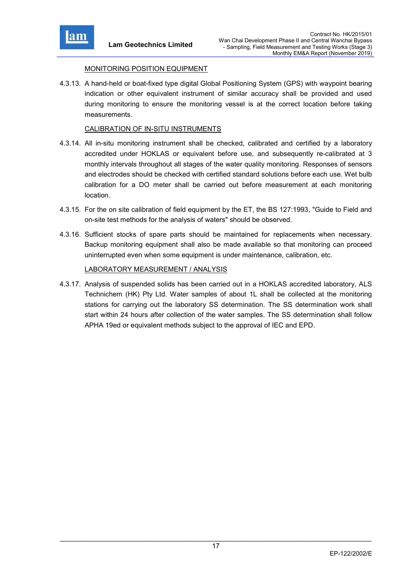

# MONITORING POSITION EQUIPMENT

4.3.13. A hand-held or boat-fixed type digital Global Positioning System (GPS) with waypoint bearing indication or other equivalent instrument of similar accuracy shall be provided and used during monitoring to ensure the monitoring vessel is at the correct location before taking measurements.

# CALIBRATION OF IN-SITU INSTRUMENTS

- 4.3.14. All in-situ monitoring instrument shall be checked, calibrated and certified by a laboratory accredited under HOKLAS or equivalent before use, and subsequently re-calibrated at 3 monthly intervals throughout all stages of the water quality monitoring. Responses of sensors and electrodes should be checked with certified standard solutions before each use. Wet bulb calibration for a DO meter shall be carried out before measurement at each monitoring location.
- 4.3.15. For the on site calibration of field equipment by the ET, the BS 127:1993, "Guide to Field and on-site test methods for the analysis of waters" should be observed.
- 4.3.16. Sufficient stocks of spare parts should be maintained for replacements when necessary. Backup monitoring equipment shall also be made available so that monitoring can proceed uninterrupted even when some equipment is under maintenance, calibration, etc.

#### LABORATORY MEASUREMENT / ANALYSIS

4.3.17. Analysis of suspended solids has been carried out in a HOKLAS accredited laboratory, ALS Technichem (HK) Pty Ltd. Water samples of about 1L shall be collected at the monitoring stations for carrying out the laboratory SS determination. The SS determination work shall start within 24 hours after collection of the water samples. The SS determination shall follow APHA 19ed or equivalent methods subject to the approval of IEC and EPD.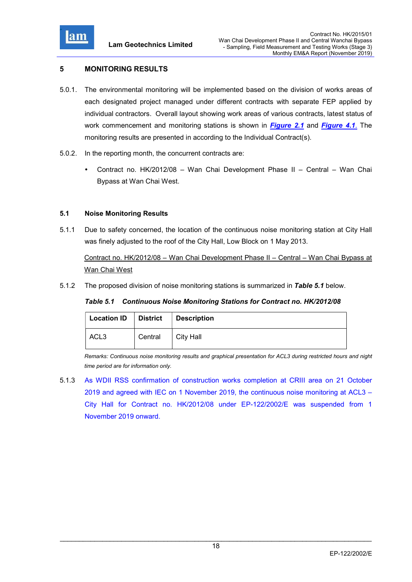

# 5 MONITORING RESULTS

- 5.0.1. The environmental monitoring will be implemented based on the division of works areas of each designated project managed under different contracts with separate FEP applied by individual contractors. Overall layout showing work areas of various contracts, latest status of work commencement and monitoring stations is shown in *Figure 2.1* and *Figure 4.1*. The monitoring results are presented in according to the Individual Contract(s).
- 5.0.2. In the reporting month, the concurrent contracts are:
	- Contract no. HK/2012/08 Wan Chai Development Phase II Central Wan Chai Bypass at Wan Chai West.

# 5.1 Noise Monitoring Results

5.1.1 Due to safety concerned, the location of the continuous noise monitoring station at City Hall was finely adjusted to the roof of the City Hall, Low Block on 1 May 2013.

Contract no. HK/2012/08 – Wan Chai Development Phase II – Central – Wan Chai Bypass at Wan Chai West

5.1.2 The proposed division of noise monitoring stations is summarized in Table 5.1 below.

#### Table 5.1 Continuous Noise Monitoring Stations for Contract no. HK/2012/08

| <b>Location ID</b> | District | Description |
|--------------------|----------|-------------|
| ACL <sub>3</sub>   | Central  | City Hall   |

Remarks: Continuous noise monitoring results and graphical presentation for ACL3 during restricted hours and night time period are for information only.

5.1.3 As WDII RSS confirmation of construction works completion at CRIII area on 21 October 2019 and agreed with IEC on 1 November 2019, the continuous noise monitoring at ACL3 – City Hall for Contract no. HK/2012/08 under EP-122/2002/E was suspended from 1 November 2019 onward.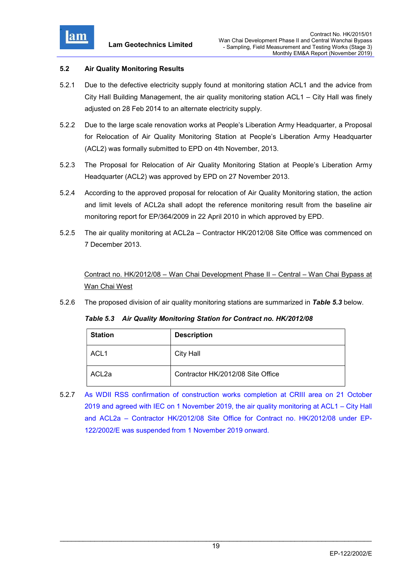

# 5.2 Air Quality Monitoring Results

- 5.2.1 Due to the defective electricity supply found at monitoring station ACL1 and the advice from City Hall Building Management, the air quality monitoring station ACL1 – City Hall was finely adjusted on 28 Feb 2014 to an alternate electricity supply.
- 5.2.2 Due to the large scale renovation works at People's Liberation Army Headquarter, a Proposal for Relocation of Air Quality Monitoring Station at People's Liberation Army Headquarter (ACL2) was formally submitted to EPD on 4th November, 2013.
- 5.2.3 The Proposal for Relocation of Air Quality Monitoring Station at People's Liberation Army Headquarter (ACL2) was approved by EPD on 27 November 2013.
- 5.2.4 According to the approved proposal for relocation of Air Quality Monitoring station, the action and limit levels of ACL2a shall adopt the reference monitoring result from the baseline air monitoring report for EP/364/2009 in 22 April 2010 in which approved by EPD.
- 5.2.5 The air quality monitoring at ACL2a Contractor HK/2012/08 Site Office was commenced on 7 December 2013.

Contract no. HK/2012/08 – Wan Chai Development Phase II – Central – Wan Chai Bypass at Wan Chai West

5.2.6 The proposed division of air quality monitoring stations are summarized in Table 5.3 below.

Table 5.3 Air Quality Monitoring Station for Contract no. HK/2012/08

| <b>Station</b>    | <b>Description</b>                |
|-------------------|-----------------------------------|
| ACL <sub>1</sub>  | City Hall                         |
| ACL <sub>2a</sub> | Contractor HK/2012/08 Site Office |

5.2.7 As WDII RSS confirmation of construction works completion at CRIII area on 21 October 2019 and agreed with IEC on 1 November 2019, the air quality monitoring at ACL1 – City Hall and ACL2a – Contractor HK/2012/08 Site Office for Contract no. HK/2012/08 under EP-122/2002/E was suspended from 1 November 2019 onward.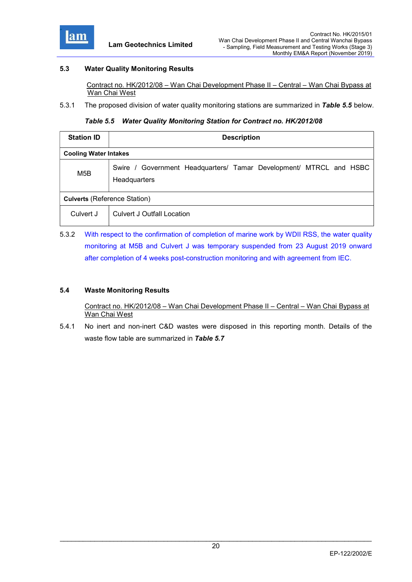

# 5.3 Water Quality Monitoring Results

 Contract no. HK/2012/08 – Wan Chai Development Phase II – Central – Wan Chai Bypass at Wan Chai West

5.3.1 The proposed division of water quality monitoring stations are summarized in Table 5.5 below.

#### Table 5.5 Water Quality Monitoring Station for Contract no. HK/2012/08

| <b>Station ID</b>                   | <b>Description</b>                                                                 |  |  |
|-------------------------------------|------------------------------------------------------------------------------------|--|--|
| <b>Cooling Water Intakes</b>        |                                                                                    |  |  |
| M5B                                 | Swire / Government Headquarters/ Tamar Development/ MTRCL and HSBC<br>Headquarters |  |  |
| <b>Culverts (Reference Station)</b> |                                                                                    |  |  |
| Culvert J                           | Culvert J Outfall Location                                                         |  |  |

5.3.2 With respect to the confirmation of completion of marine work by WDII RSS, the water quality monitoring at M5B and Culvert J was temporary suspended from 23 August 2019 onward after completion of 4 weeks post-construction monitoring and with agreement from IEC.

# 5.4 Waste Monitoring Results

 Contract no. HK/2012/08 – Wan Chai Development Phase II – Central – Wan Chai Bypass at Wan Chai West

5.4.1 No inert and non-inert C&D wastes were disposed in this reporting month. Details of the waste flow table are summarized in Table 5.7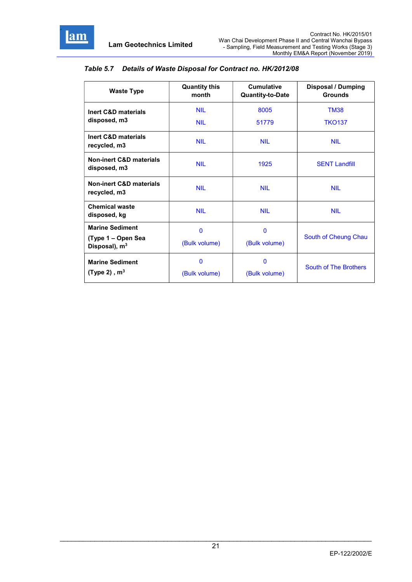

| <b>Waste Type</b>                                                         | <b>Quantity this</b><br>month | <b>Cumulative</b><br><b>Quantity-to-Date</b> | <b>Disposal / Dumping</b><br><b>Grounds</b> |
|---------------------------------------------------------------------------|-------------------------------|----------------------------------------------|---------------------------------------------|
| <b>Inert C&amp;D materials</b><br>disposed, m3                            | <b>NIL</b><br><b>NIL</b>      | 8005<br>51779                                | <b>TM38</b><br><b>TKO137</b>                |
| Inert C&D materials<br>recycled, m3                                       | <b>NII</b>                    | <b>NII</b>                                   | <b>NII</b>                                  |
| <b>Non-inert C&amp;D materials</b><br>disposed, m3                        | <b>NIL</b>                    | 1925                                         | <b>SENT Landfill</b>                        |
| <b>Non-inert C&amp;D materials</b><br>recycled, m3                        | <b>NII</b>                    | <b>NII</b>                                   | <b>NII</b>                                  |
| <b>Chemical waste</b><br>disposed, kg                                     | <b>NIL</b>                    | <b>NIL</b>                                   | <b>NIL</b>                                  |
| <b>Marine Sediment</b><br>(Type 1 – Open Sea<br>Disposal), m <sup>3</sup> | $\mathbf 0$<br>(Bulk volume)  | $\mathbf 0$<br>(Bulk volume)                 | South of Cheung Chau                        |
| <b>Marine Sediment</b><br>(Type 2), $m3$                                  | $\Omega$<br>(Bulk volume)     | $\mathbf{0}$<br>(Bulk volume)                | South of The Brothers                       |

# Table 5.7 Details of Waste Disposal for Contract no. HK/2012/08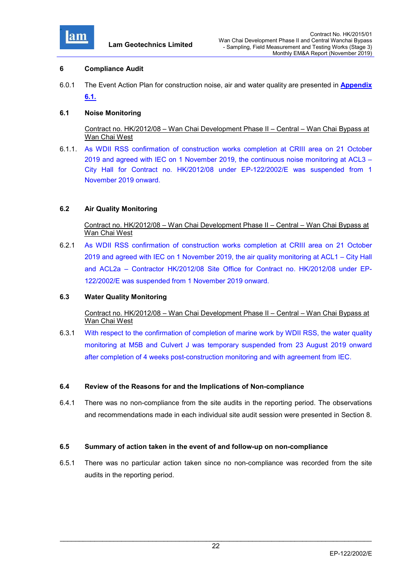

#### 6 Compliance Audit

6.0.1 The Event Action Plan for construction noise, air and water quality are presented in Appendix 6.1.

# 6.1 Noise Monitoring

 Contract no. HK/2012/08 – Wan Chai Development Phase II – Central – Wan Chai Bypass at Wan Chai West

6.1.1. As WDII RSS confirmation of construction works completion at CRIII area on 21 October 2019 and agreed with IEC on 1 November 2019, the continuous noise monitoring at ACL3 – City Hall for Contract no. HK/2012/08 under EP-122/2002/E was suspended from 1 November 2019 onward.

# 6.2 Air Quality Monitoring

 Contract no. HK/2012/08 – Wan Chai Development Phase II – Central – Wan Chai Bypass at Wan Chai West

6.2.1 As WDII RSS confirmation of construction works completion at CRIII area on 21 October 2019 and agreed with IEC on 1 November 2019, the air quality monitoring at ACL1 – City Hall and ACL2a – Contractor HK/2012/08 Site Office for Contract no. HK/2012/08 under EP-122/2002/E was suspended from 1 November 2019 onward.

#### 6.3 Water Quality Monitoring

# Contract no. HK/2012/08 – Wan Chai Development Phase II – Central – Wan Chai Bypass at Wan Chai West

6.3.1 With respect to the confirmation of completion of marine work by WDII RSS, the water quality monitoring at M5B and Culvert J was temporary suspended from 23 August 2019 onward after completion of 4 weeks post-construction monitoring and with agreement from IEC.

#### 6.4 Review of the Reasons for and the Implications of Non-compliance

6.4.1 There was no non-compliance from the site audits in the reporting period. The observations and recommendations made in each individual site audit session were presented in Section 8.

#### 6.5 Summary of action taken in the event of and follow-up on non-compliance

6.5.1 There was no particular action taken since no non-compliance was recorded from the site audits in the reporting period.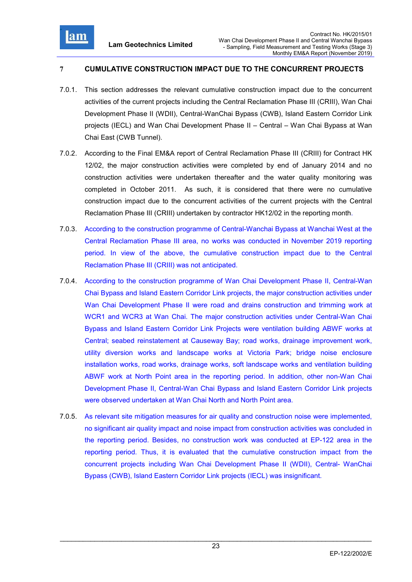

# 7 CUMULATIVE CONSTRUCTION IMPACT DUE TO THE CONCURRENT PROJECTS

- 7.0.1. This section addresses the relevant cumulative construction impact due to the concurrent activities of the current projects including the Central Reclamation Phase III (CRIII), Wan Chai Development Phase II (WDII), Central-WanChai Bypass (CWB), Island Eastern Corridor Link projects (IECL) and Wan Chai Development Phase II – Central – Wan Chai Bypass at Wan Chai East (CWB Tunnel).
- 7.0.2. According to the Final EM&A report of Central Reclamation Phase III (CRIII) for Contract HK 12/02, the major construction activities were completed by end of January 2014 and no construction activities were undertaken thereafter and the water quality monitoring was completed in October 2011. As such, it is considered that there were no cumulative construction impact due to the concurrent activities of the current projects with the Central Reclamation Phase III (CRIII) undertaken by contractor HK12/02 in the reporting month.
- 7.0.3. According to the construction programme of Central-Wanchai Bypass at Wanchai West at the Central Reclamation Phase III area, no works was conducted in November 2019 reporting period. In view of the above, the cumulative construction impact due to the Central Reclamation Phase III (CRIII) was not anticipated.
- 7.0.4. According to the construction programme of Wan Chai Development Phase II, Central-Wan Chai Bypass and Island Eastern Corridor Link projects, the major construction activities under Wan Chai Development Phase II were road and drains construction and trimming work at WCR1 and WCR3 at Wan Chai. The major construction activities under Central-Wan Chai Bypass and Island Eastern Corridor Link Projects were ventilation building ABWF works at Central; seabed reinstatement at Causeway Bay; road works, drainage improvement work, utility diversion works and landscape works at Victoria Park; bridge noise enclosure installation works, road works, drainage works, soft landscape works and ventilation building ABWF work at North Point area in the reporting period. In addition, other non-Wan Chai Development Phase II, Central-Wan Chai Bypass and Island Eastern Corridor Link projects were observed undertaken at Wan Chai North and North Point area.
- 7.0.5. As relevant site mitigation measures for air quality and construction noise were implemented, no significant air quality impact and noise impact from construction activities was concluded in the reporting period. Besides, no construction work was conducted at EP-122 area in the reporting period. Thus, it is evaluated that the cumulative construction impact from the concurrent projects including Wan Chai Development Phase II (WDII), Central- WanChai Bypass (CWB), Island Eastern Corridor Link projects (IECL) was insignificant.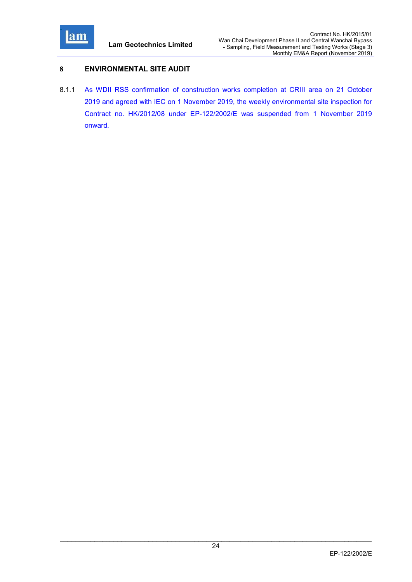

# 8 ENVIRONMENTAL SITE AUDIT

8.1.1 As WDII RSS confirmation of construction works completion at CRIII area on 21 October 2019 and agreed with IEC on 1 November 2019, the weekly environmental site inspection for Contract no. HK/2012/08 under EP-122/2002/E was suspended from 1 November 2019 onward.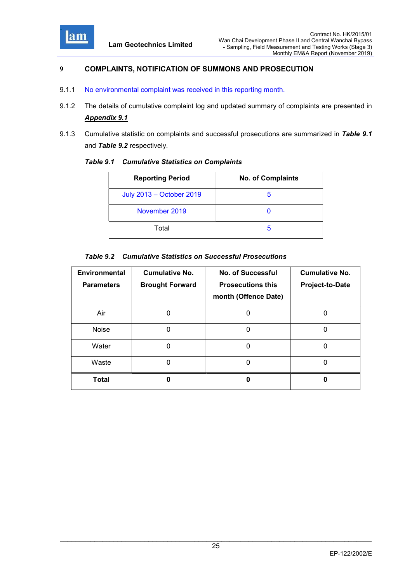

# 9 COMPLAINTS, NOTIFICATION OF SUMMONS AND PROSECUTION

- 9.1.1 No environmental complaint was received in this reporting month.
- 9.1.2 The details of cumulative complaint log and updated summary of complaints are presented in Appendix 9.1
- 9.1.3 Cumulative statistic on complaints and successful prosecutions are summarized in Table 9.1 and Table 9.2 respectively.

| <b>Reporting Period</b>  | <b>No. of Complaints</b> |
|--------------------------|--------------------------|
| July 2013 - October 2019 | h                        |
| November 2019            |                          |
| Total                    | h                        |

# Table 9.2 Cumulative Statistics on Successful Prosecutions

| <b>Environmental</b><br><b>Parameters</b> | <b>Cumulative No.</b><br><b>Brought Forward</b> | <b>No. of Successful</b><br><b>Prosecutions this</b><br>month (Offence Date) | <b>Cumulative No.</b><br>Project-to-Date |
|-------------------------------------------|-------------------------------------------------|------------------------------------------------------------------------------|------------------------------------------|
| Air                                       |                                                 | O                                                                            | U                                        |
| <b>Noise</b>                              | 0                                               | 0                                                                            | 0                                        |
| Water                                     | O                                               | 0                                                                            | 0                                        |
| Waste                                     | ŋ                                               | 0                                                                            | 0                                        |
| <b>Total</b>                              |                                                 | o                                                                            |                                          |